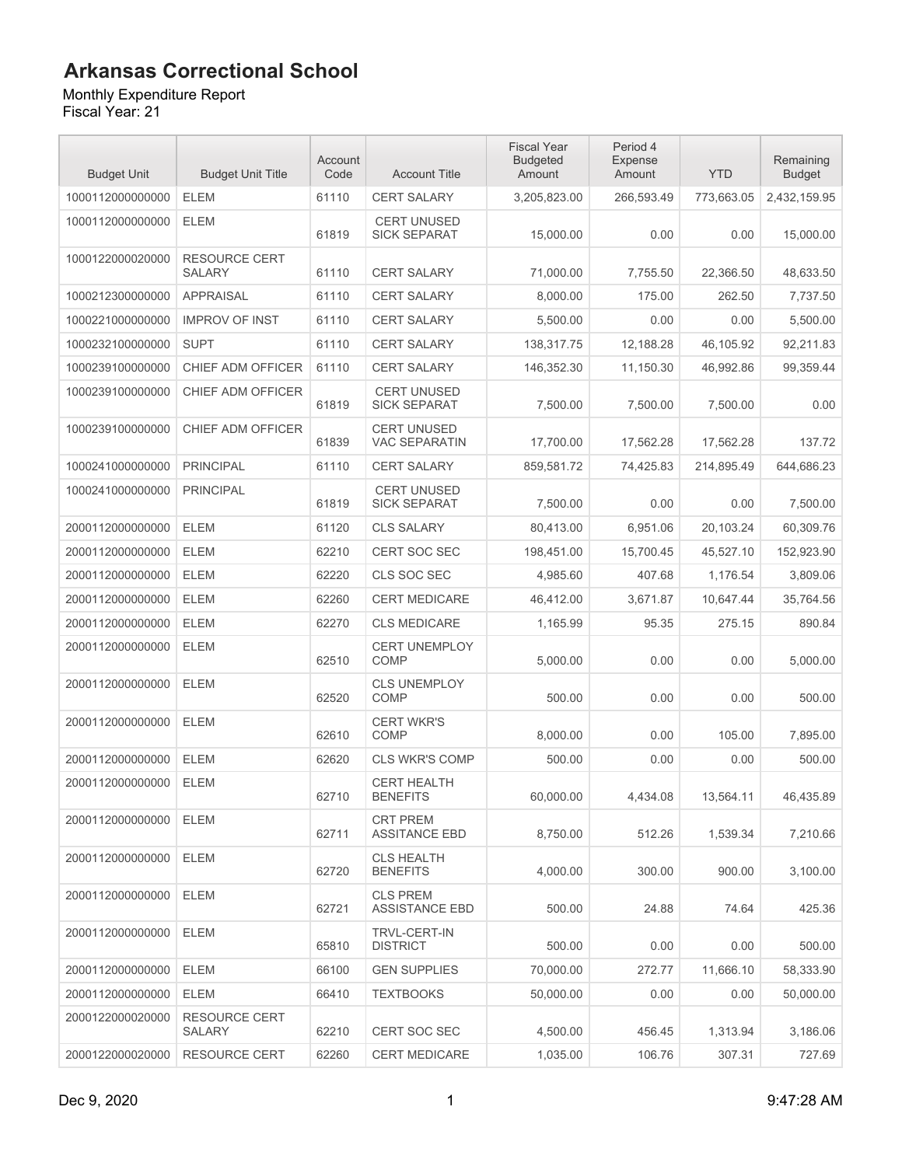Monthly Expenditure Report

| <b>Budget Unit</b> | <b>Budget Unit Title</b>              | Account<br>Code | <b>Account Title</b>                       | <b>Fiscal Year</b><br><b>Budgeted</b><br>Amount | Period 4<br>Expense<br>Amount | <b>YTD</b> | Remaining<br><b>Budget</b> |
|--------------------|---------------------------------------|-----------------|--------------------------------------------|-------------------------------------------------|-------------------------------|------------|----------------------------|
| 1000112000000000   | <b>ELEM</b>                           | 61110           | <b>CERT SALARY</b>                         | 3,205,823.00                                    | 266,593.49                    | 773,663.05 | 2,432,159.95               |
| 1000112000000000   | <b>ELEM</b>                           | 61819           | <b>CERT UNUSED</b><br><b>SICK SEPARAT</b>  | 15,000.00                                       | 0.00                          | 0.00       | 15,000.00                  |
| 1000122000020000   | <b>RESOURCE CERT</b><br><b>SALARY</b> | 61110           | <b>CERT SALARY</b>                         | 71,000.00                                       | 7,755.50                      | 22,366.50  | 48,633.50                  |
| 1000212300000000   | <b>APPRAISAL</b>                      | 61110           | <b>CERT SALARY</b>                         | 8,000.00                                        | 175.00                        | 262.50     | 7,737.50                   |
| 1000221000000000   | <b>IMPROV OF INST</b>                 | 61110           | <b>CERT SALARY</b>                         | 5,500.00                                        | 0.00                          | 0.00       | 5,500.00                   |
| 1000232100000000   | <b>SUPT</b>                           | 61110           | CERT SALARY                                | 138,317.75                                      | 12,188.28                     | 46,105.92  | 92,211.83                  |
| 1000239100000000   | CHIEF ADM OFFICER                     | 61110           | <b>CERT SALARY</b>                         | 146,352.30                                      | 11,150.30                     | 46,992.86  | 99,359.44                  |
| 1000239100000000   | CHIEF ADM OFFICER                     | 61819           | <b>CERT UNUSED</b><br><b>SICK SEPARAT</b>  | 7,500.00                                        | 7,500.00                      | 7,500.00   | 0.00                       |
| 1000239100000000   | CHIEF ADM OFFICER                     | 61839           | <b>CERT UNUSED</b><br><b>VAC SEPARATIN</b> | 17,700.00                                       | 17,562.28                     | 17,562.28  | 137.72                     |
| 1000241000000000   | <b>PRINCIPAL</b>                      | 61110           | <b>CERT SALARY</b>                         | 859.581.72                                      | 74,425.83                     | 214,895.49 | 644,686.23                 |
| 1000241000000000   | <b>PRINCIPAL</b>                      | 61819           | <b>CERT UNUSED</b><br><b>SICK SEPARAT</b>  | 7,500.00                                        | 0.00                          | 0.00       | 7,500.00                   |
| 2000112000000000   | <b>ELEM</b>                           | 61120           | <b>CLS SALARY</b>                          | 80,413.00                                       | 6,951.06                      | 20,103.24  | 60,309.76                  |
| 2000112000000000   | <b>ELEM</b>                           | 62210           | <b>CERT SOC SEC</b>                        | 198,451.00                                      | 15,700.45                     | 45,527.10  | 152,923.90                 |
| 2000112000000000   | <b>ELEM</b>                           | 62220           | CLS SOC SEC                                | 4,985.60                                        | 407.68                        | 1,176.54   | 3,809.06                   |
| 2000112000000000   | <b>ELEM</b>                           | 62260           | <b>CERT MEDICARE</b>                       | 46,412.00                                       | 3,671.87                      | 10,647.44  | 35,764.56                  |
| 2000112000000000   | <b>ELEM</b>                           | 62270           | <b>CLS MEDICARE</b>                        | 1,165.99                                        | 95.35                         | 275.15     | 890.84                     |
| 2000112000000000   | <b>ELEM</b>                           | 62510           | <b>CERT UNEMPLOY</b><br><b>COMP</b>        | 5,000.00                                        | 0.00                          | 0.00       | 5,000.00                   |
| 2000112000000000   | <b>ELEM</b>                           | 62520           | <b>CLS UNEMPLOY</b><br>COMP                | 500.00                                          | 0.00                          | 0.00       | 500.00                     |
| 2000112000000000   | <b>ELEM</b>                           | 62610           | <b>CERT WKR'S</b><br><b>COMP</b>           | 8,000.00                                        | 0.00                          | 105.00     | 7,895.00                   |
| 2000112000000000   | <b>ELEM</b>                           | 62620           | <b>CLS WKR'S COMP</b>                      | 500.00                                          | 0.00                          | 0.00       | 500.00                     |
| 2000112000000000   | <b>ELEM</b>                           | 62710           | <b>CERT HEALTH</b><br><b>BENEFITS</b>      | 60,000.00                                       | 4,434.08                      | 13,564.11  | 46,435.89                  |
| 2000112000000000   | <b>ELEM</b>                           | 62711           | <b>CRT PREM</b><br><b>ASSITANCE EBD</b>    | 8,750.00                                        | 512.26                        | 1,539.34   | 7,210.66                   |
| 2000112000000000   | ELEM                                  | 62720           | <b>CLS HEALTH</b><br><b>BENEFITS</b>       | 4,000.00                                        | 300.00                        | 900.00     | 3,100.00                   |
| 2000112000000000   | ELEM                                  | 62721           | <b>CLS PREM</b><br><b>ASSISTANCE EBD</b>   | 500.00                                          | 24.88                         | 74.64      | 425.36                     |
| 2000112000000000   | <b>ELEM</b>                           | 65810           | <b>TRVL-CERT-IN</b><br><b>DISTRICT</b>     | 500.00                                          | 0.00                          | 0.00       | 500.00                     |
| 2000112000000000   | ELEM                                  | 66100           | <b>GEN SUPPLIES</b>                        | 70,000.00                                       | 272.77                        | 11,666.10  | 58,333.90                  |
| 2000112000000000   | <b>ELEM</b>                           | 66410           | <b>TEXTBOOKS</b>                           | 50,000.00                                       | 0.00                          | 0.00       | 50,000.00                  |
| 2000122000020000   | <b>RESOURCE CERT</b><br>SALARY        | 62210           | <b>CERT SOC SEC</b>                        | 4,500.00                                        | 456.45                        | 1,313.94   | 3,186.06                   |
| 2000122000020000   | <b>RESOURCE CERT</b>                  | 62260           | <b>CERT MEDICARE</b>                       | 1,035.00                                        | 106.76                        | 307.31     | 727.69                     |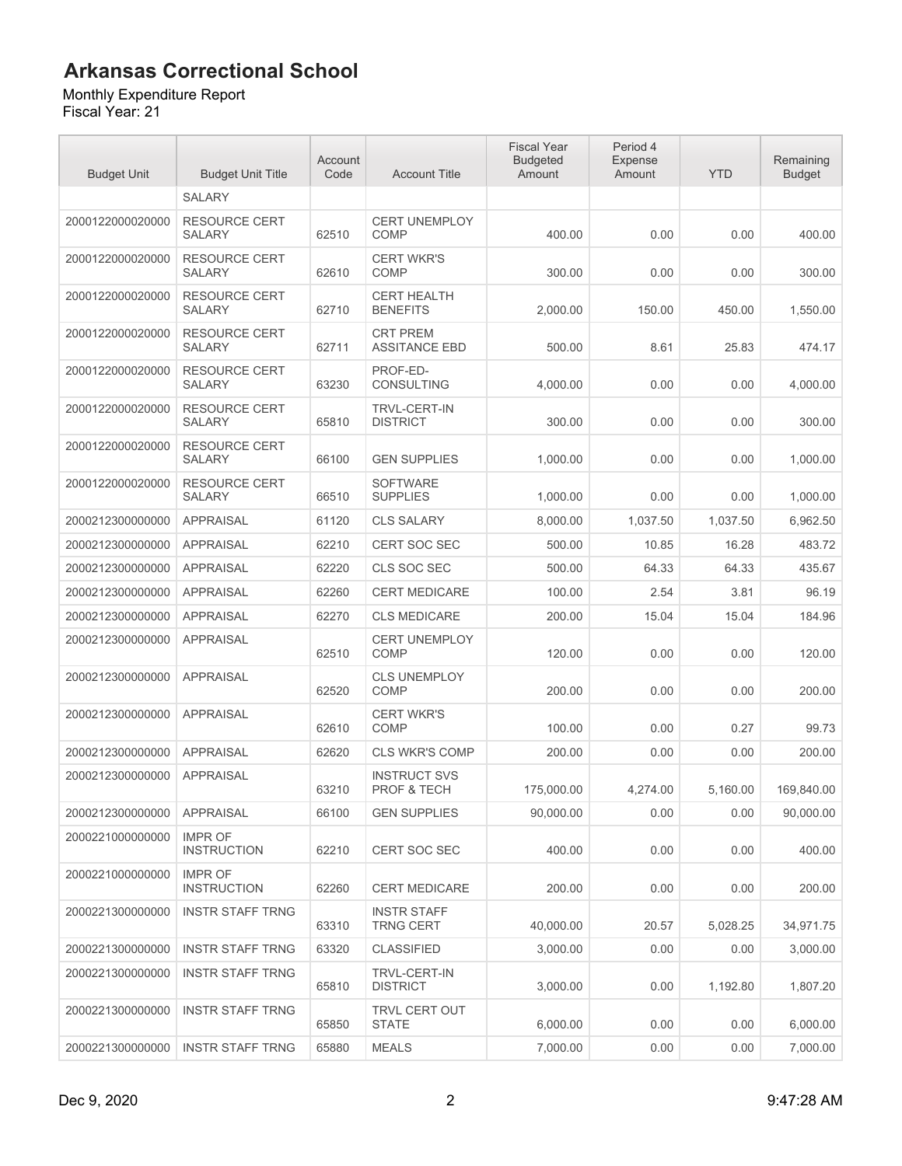#### Monthly Expenditure Report

| <b>Budget Unit</b> | <b>Budget Unit Title</b>              | Account<br>Code | <b>Account Title</b>                          | <b>Fiscal Year</b><br><b>Budgeted</b><br>Amount | Period 4<br>Expense<br>Amount | <b>YTD</b> | Remaining<br><b>Budget</b> |
|--------------------|---------------------------------------|-----------------|-----------------------------------------------|-------------------------------------------------|-------------------------------|------------|----------------------------|
|                    | <b>SALARY</b>                         |                 |                                               |                                                 |                               |            |                            |
| 2000122000020000   | <b>RESOURCE CERT</b><br><b>SALARY</b> | 62510           | <b>CERT UNEMPLOY</b><br><b>COMP</b>           | 400.00                                          | 0.00                          | 0.00       | 400.00                     |
| 2000122000020000   | <b>RESOURCE CERT</b><br><b>SALARY</b> | 62610           | <b>CERT WKR'S</b><br><b>COMP</b>              | 300.00                                          | 0.00                          | 0.00       | 300.00                     |
| 2000122000020000   | <b>RESOURCE CERT</b><br>SALARY        | 62710           | <b>CERT HEALTH</b><br><b>BENEFITS</b>         | 2.000.00                                        | 150.00                        | 450.00     | 1,550.00                   |
| 2000122000020000   | <b>RESOURCE CERT</b><br><b>SALARY</b> | 62711           | <b>CRT PREM</b><br><b>ASSITANCE EBD</b>       | 500.00                                          | 8.61                          | 25.83      | 474.17                     |
| 2000122000020000   | <b>RESOURCE CERT</b><br><b>SALARY</b> | 63230           | PROF-ED-<br><b>CONSULTING</b>                 | 4,000.00                                        | 0.00                          | 0.00       | 4,000.00                   |
| 2000122000020000   | <b>RESOURCE CERT</b><br><b>SALARY</b> | 65810           | <b>TRVL-CERT-IN</b><br><b>DISTRICT</b>        | 300.00                                          | 0.00                          | 0.00       | 300.00                     |
| 2000122000020000   | <b>RESOURCE CERT</b><br><b>SALARY</b> | 66100           | <b>GEN SUPPLIES</b>                           | 1,000.00                                        | 0.00                          | 0.00       | 1,000.00                   |
| 2000122000020000   | <b>RESOURCE CERT</b><br><b>SALARY</b> | 66510           | <b>SOFTWARE</b><br><b>SUPPLIES</b>            | 1,000.00                                        | 0.00                          | 0.00       | 1,000.00                   |
| 2000212300000000   | <b>APPRAISAL</b>                      | 61120           | <b>CLS SALARY</b>                             | 8,000.00                                        | 1,037.50                      | 1,037.50   | 6,962.50                   |
| 2000212300000000   | <b>APPRAISAL</b>                      | 62210           | <b>CERT SOC SEC</b>                           | 500.00                                          | 10.85                         | 16.28      | 483.72                     |
| 2000212300000000   | <b>APPRAISAL</b>                      | 62220           | CLS SOC SEC                                   | 500.00                                          | 64.33                         | 64.33      | 435.67                     |
| 2000212300000000   | <b>APPRAISAL</b>                      | 62260           | <b>CERT MEDICARE</b>                          | 100.00                                          | 2.54                          | 3.81       | 96.19                      |
| 2000212300000000   | <b>APPRAISAL</b>                      | 62270           | <b>CLS MEDICARE</b>                           | 200.00                                          | 15.04                         | 15.04      | 184.96                     |
| 2000212300000000   | <b>APPRAISAL</b>                      | 62510           | <b>CERT UNEMPLOY</b><br><b>COMP</b>           | 120.00                                          | 0.00                          | 0.00       | 120.00                     |
| 2000212300000000   | <b>APPRAISAL</b>                      | 62520           | <b>CLS UNEMPLOY</b><br><b>COMP</b>            | 200.00                                          | 0.00                          | 0.00       | 200.00                     |
| 2000212300000000   | <b>APPRAISAL</b>                      | 62610           | <b>CERT WKR'S</b><br><b>COMP</b>              | 100.00                                          | 0.00                          | 0.27       | 99.73                      |
| 2000212300000000   | <b>APPRAISAL</b>                      | 62620           | <b>CLS WKR'S COMP</b>                         | 200.00                                          | 0.00                          | 0.00       | 200.00                     |
| 2000212300000000   | <b>APPRAISAL</b>                      | 63210           | <b>INSTRUCT SVS</b><br><b>PROF &amp; TECH</b> | 175.000.00                                      | 4,274.00                      | 5,160.00   | 169,840.00                 |
| 2000212300000000   | <b>APPRAISAL</b>                      | 66100           | <b>GEN SUPPLIES</b>                           | 90,000.00                                       | 0.00                          | 0.00       | 90,000.00                  |
| 2000221000000000   | <b>IMPR OF</b><br><b>INSTRUCTION</b>  | 62210           | <b>CERT SOC SEC</b>                           | 400.00                                          | 0.00                          | 0.00       | 400.00                     |
| 2000221000000000   | <b>IMPR OF</b><br><b>INSTRUCTION</b>  | 62260           | <b>CERT MEDICARE</b>                          | 200.00                                          | 0.00                          | 0.00       | 200.00                     |
| 2000221300000000   | <b>INSTR STAFF TRNG</b>               | 63310           | <b>INSTR STAFF</b><br><b>TRNG CERT</b>        | 40,000.00                                       | 20.57                         | 5,028.25   | 34,971.75                  |
| 2000221300000000   | <b>INSTR STAFF TRNG</b>               | 63320           | <b>CLASSIFIED</b>                             | 3,000.00                                        | 0.00                          | 0.00       | 3,000.00                   |
| 2000221300000000   | <b>INSTR STAFF TRNG</b>               | 65810           | <b>TRVL-CERT-IN</b><br><b>DISTRICT</b>        | 3,000.00                                        | 0.00                          | 1,192.80   | 1,807.20                   |
| 2000221300000000   | <b>INSTR STAFF TRNG</b>               | 65850           | TRVL CERT OUT<br><b>STATE</b>                 | 6,000.00                                        | 0.00                          | 0.00       | 6,000.00                   |
| 2000221300000000   | <b>INSTR STAFF TRNG</b>               | 65880           | <b>MEALS</b>                                  | 7,000.00                                        | 0.00                          | 0.00       | 7,000.00                   |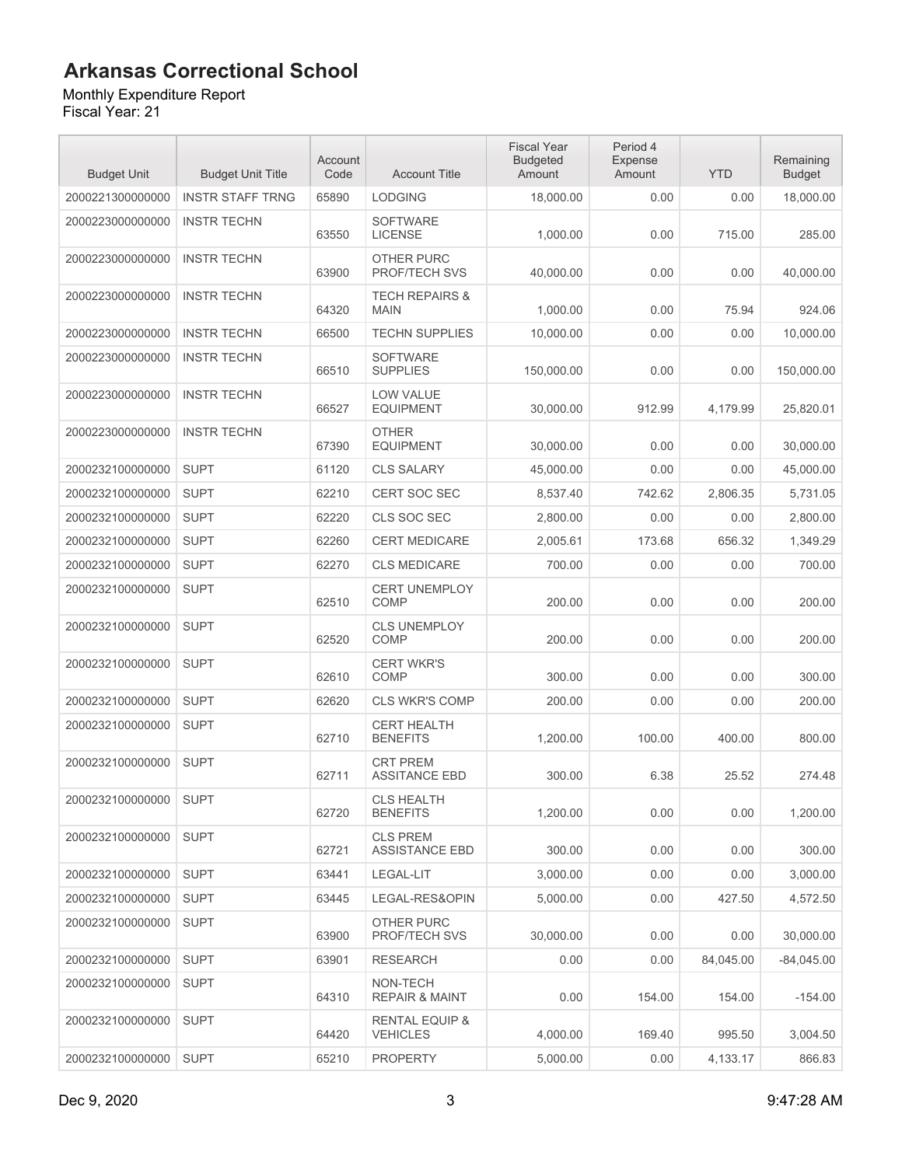#### Monthly Expenditure Report

| <b>Budget Unit</b> | <b>Budget Unit Title</b> | Account<br>Code | <b>Account Title</b>                         | <b>Fiscal Year</b><br><b>Budgeted</b><br>Amount | Period 4<br>Expense<br>Amount | <b>YTD</b> | Remaining<br><b>Budget</b> |
|--------------------|--------------------------|-----------------|----------------------------------------------|-------------------------------------------------|-------------------------------|------------|----------------------------|
| 2000221300000000   | <b>INSTR STAFF TRNG</b>  | 65890           | <b>LODGING</b>                               | 18,000.00                                       | 0.00                          | 0.00       | 18,000.00                  |
| 2000223000000000   | <b>INSTR TECHN</b>       | 63550           | <b>SOFTWARE</b><br><b>LICENSE</b>            | 1,000.00                                        | 0.00                          | 715.00     | 285.00                     |
| 2000223000000000   | <b>INSTR TECHN</b>       | 63900           | OTHER PURC<br>PROF/TECH SVS                  | 40,000.00                                       | 0.00                          | 0.00       | 40,000.00                  |
| 2000223000000000   | <b>INSTR TECHN</b>       | 64320           | <b>TECH REPAIRS &amp;</b><br><b>MAIN</b>     | 1.000.00                                        | 0.00                          | 75.94      | 924.06                     |
| 2000223000000000   | <b>INSTR TECHN</b>       | 66500           | <b>TECHN SUPPLIES</b>                        | 10,000.00                                       | 0.00                          | 0.00       | 10,000.00                  |
| 2000223000000000   | <b>INSTR TECHN</b>       | 66510           | <b>SOFTWARE</b><br><b>SUPPLIES</b>           | 150,000.00                                      | 0.00                          | 0.00       | 150,000.00                 |
| 2000223000000000   | <b>INSTR TECHN</b>       | 66527           | LOW VALUE<br><b>EQUIPMENT</b>                | 30,000.00                                       | 912.99                        | 4,179.99   | 25,820.01                  |
| 2000223000000000   | <b>INSTR TECHN</b>       | 67390           | <b>OTHER</b><br><b>EQUIPMENT</b>             | 30,000.00                                       | 0.00                          | 0.00       | 30,000.00                  |
| 2000232100000000   | <b>SUPT</b>              | 61120           | <b>CLS SALARY</b>                            | 45,000.00                                       | 0.00                          | 0.00       | 45.000.00                  |
| 2000232100000000   | <b>SUPT</b>              | 62210           | <b>CERT SOC SEC</b>                          | 8,537.40                                        | 742.62                        | 2,806.35   | 5,731.05                   |
| 2000232100000000   | <b>SUPT</b>              | 62220           | CLS SOC SEC                                  | 2,800.00                                        | 0.00                          | 0.00       | 2,800.00                   |
| 2000232100000000   | <b>SUPT</b>              | 62260           | <b>CERT MEDICARE</b>                         | 2.005.61                                        | 173.68                        | 656.32     | 1,349.29                   |
| 2000232100000000   | <b>SUPT</b>              | 62270           | <b>CLS MEDICARE</b>                          | 700.00                                          | 0.00                          | 0.00       | 700.00                     |
| 2000232100000000   | <b>SUPT</b>              | 62510           | <b>CERT UNEMPLOY</b><br><b>COMP</b>          | 200.00                                          | 0.00                          | 0.00       | 200.00                     |
| 2000232100000000   | <b>SUPT</b>              | 62520           | <b>CLS UNEMPLOY</b><br><b>COMP</b>           | 200.00                                          | 0.00                          | 0.00       | 200.00                     |
| 2000232100000000   | <b>SUPT</b>              | 62610           | <b>CERT WKR'S</b><br><b>COMP</b>             | 300.00                                          | 0.00                          | 0.00       | 300.00                     |
| 2000232100000000   | <b>SUPT</b>              | 62620           | <b>CLS WKR'S COMP</b>                        | 200.00                                          | 0.00                          | 0.00       | 200.00                     |
| 2000232100000000   | <b>SUPT</b>              | 62710           | <b>CERT HEALTH</b><br><b>BENEFITS</b>        | 1,200.00                                        | 100.00                        | 400.00     | 800.00                     |
| 2000232100000000   | <b>SUPT</b>              | 62711           | <b>CRT PREM</b><br><b>ASSITANCE EBD</b>      | 300.00                                          | 6.38                          | 25.52      | 274.48                     |
| 2000232100000000   | <b>SUPT</b>              | 62720           | <b>CLS HEALTH</b><br><b>BENEFITS</b>         | 1,200.00                                        | 0.00                          | 0.00       | 1,200.00                   |
| 2000232100000000   | <b>SUPT</b>              | 62721           | <b>CLS PREM</b><br><b>ASSISTANCE EBD</b>     | 300.00                                          | 0.00                          | 0.00       | 300.00                     |
| 2000232100000000   | <b>SUPT</b>              | 63441           | LEGAL-LIT                                    | 3,000.00                                        | 0.00                          | 0.00       | 3,000.00                   |
| 2000232100000000   | <b>SUPT</b>              | 63445           | LEGAL-RES&OPIN                               | 5.000.00                                        | 0.00                          | 427.50     | 4,572.50                   |
| 2000232100000000   | <b>SUPT</b>              | 63900           | OTHER PURC<br>PROF/TECH SVS                  | 30,000.00                                       | 0.00                          | 0.00       | 30,000.00                  |
| 2000232100000000   | <b>SUPT</b>              | 63901           | <b>RESEARCH</b>                              | 0.00                                            | 0.00                          | 84.045.00  | $-84,045.00$               |
| 2000232100000000   | <b>SUPT</b>              | 64310           | NON-TECH<br><b>REPAIR &amp; MAINT</b>        | 0.00                                            | 154.00                        | 154.00     | $-154.00$                  |
| 2000232100000000   | <b>SUPT</b>              | 64420           | <b>RENTAL EQUIP &amp;</b><br><b>VEHICLES</b> | 4,000.00                                        | 169.40                        | 995.50     | 3,004.50                   |
| 2000232100000000   | <b>SUPT</b>              | 65210           | <b>PROPERTY</b>                              | 5,000.00                                        | 0.00                          | 4,133.17   | 866.83                     |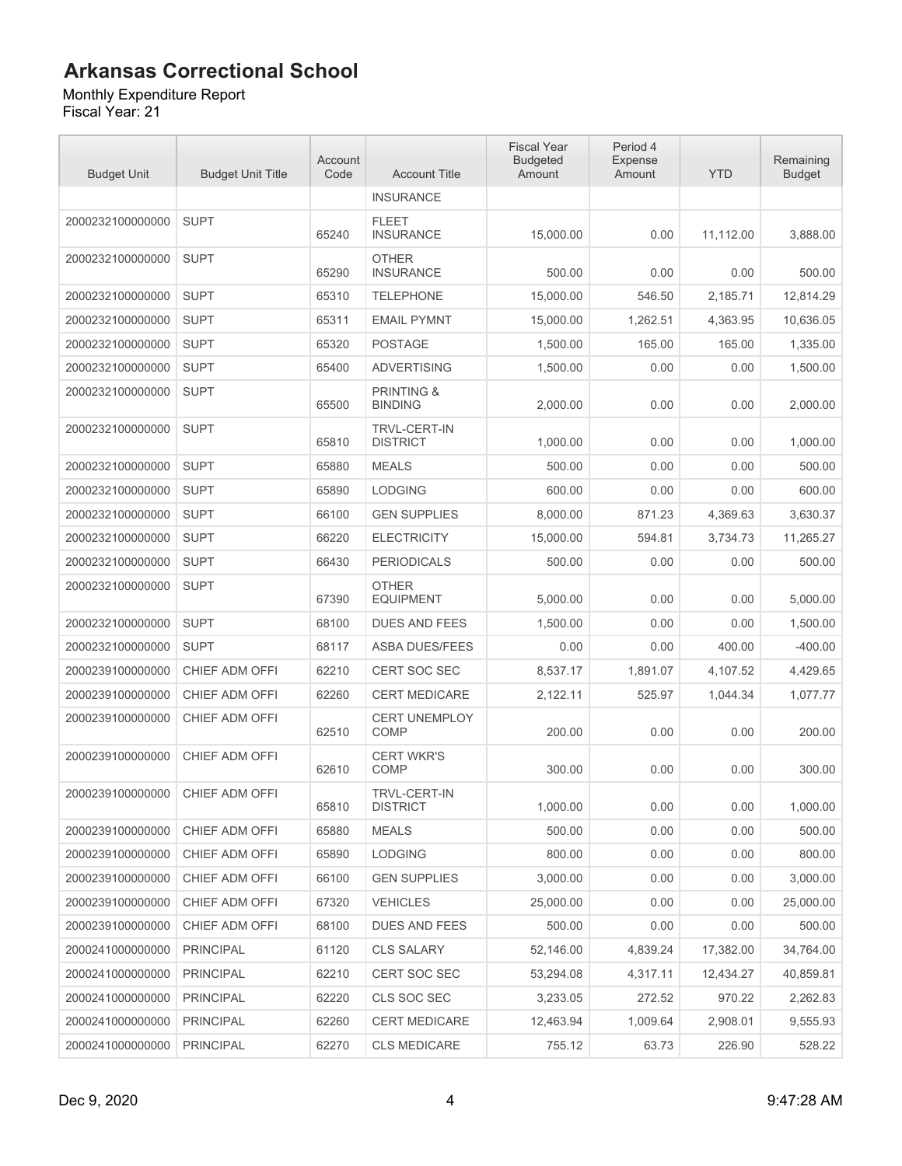Monthly Expenditure Report Fiscal Year: 21

| <b>Budget Unit</b> | <b>Budget Unit Title</b> | Account<br>Code | <b>Account Title</b>                    | <b>Fiscal Year</b><br><b>Budgeted</b><br>Amount | Period 4<br>Expense<br>Amount | <b>YTD</b> | Remaining<br><b>Budget</b> |
|--------------------|--------------------------|-----------------|-----------------------------------------|-------------------------------------------------|-------------------------------|------------|----------------------------|
|                    |                          |                 | <b>INSURANCE</b>                        |                                                 |                               |            |                            |
| 2000232100000000   | <b>SUPT</b>              | 65240           | <b>FLEET</b><br><b>INSURANCE</b>        | 15,000.00                                       | 0.00                          | 11,112.00  | 3,888.00                   |
| 2000232100000000   | <b>SUPT</b>              | 65290           | <b>OTHER</b><br><b>INSURANCE</b>        | 500.00                                          | 0.00                          | 0.00       | 500.00                     |
| 2000232100000000   | <b>SUPT</b>              | 65310           | <b>TELEPHONE</b>                        | 15,000.00                                       | 546.50                        | 2,185.71   | 12,814.29                  |
| 2000232100000000   | <b>SUPT</b>              | 65311           | <b>EMAIL PYMNT</b>                      | 15,000.00                                       | 1,262.51                      | 4,363.95   | 10,636.05                  |
| 2000232100000000   | <b>SUPT</b>              | 65320           | <b>POSTAGE</b>                          | 1,500.00                                        | 165.00                        | 165.00     | 1,335.00                   |
| 2000232100000000   | <b>SUPT</b>              | 65400           | <b>ADVERTISING</b>                      | 1,500.00                                        | 0.00                          | 0.00       | 1,500.00                   |
| 2000232100000000   | <b>SUPT</b>              | 65500           | <b>PRINTING &amp;</b><br><b>BINDING</b> | 2,000.00                                        | 0.00                          | 0.00       | 2,000.00                   |
| 2000232100000000   | <b>SUPT</b>              | 65810           | <b>TRVL-CERT-IN</b><br><b>DISTRICT</b>  | 1,000.00                                        | 0.00                          | 0.00       | 1,000.00                   |
| 2000232100000000   | <b>SUPT</b>              | 65880           | <b>MEALS</b>                            | 500.00                                          | 0.00                          | 0.00       | 500.00                     |
| 2000232100000000   | <b>SUPT</b>              | 65890           | <b>LODGING</b>                          | 600.00                                          | 0.00                          | 0.00       | 600.00                     |
| 2000232100000000   | <b>SUPT</b>              | 66100           | <b>GEN SUPPLIES</b>                     | 8,000.00                                        | 871.23                        | 4,369.63   | 3,630.37                   |
| 2000232100000000   | <b>SUPT</b>              | 66220           | <b>ELECTRICITY</b>                      | 15,000.00                                       | 594.81                        | 3,734.73   | 11,265.27                  |
| 2000232100000000   | <b>SUPT</b>              | 66430           | <b>PERIODICALS</b>                      | 500.00                                          | 0.00                          | 0.00       | 500.00                     |
| 2000232100000000   | <b>SUPT</b>              | 67390           | <b>OTHER</b><br><b>EQUIPMENT</b>        | 5,000.00                                        | 0.00                          | 0.00       | 5,000.00                   |
| 2000232100000000   | <b>SUPT</b>              | 68100           | <b>DUES AND FEES</b>                    | 1,500.00                                        | 0.00                          | 0.00       | 1,500.00                   |
| 2000232100000000   | <b>SUPT</b>              | 68117           | <b>ASBA DUES/FEES</b>                   | 0.00                                            | 0.00                          | 400.00     | $-400.00$                  |
| 2000239100000000   | CHIEF ADM OFFI           | 62210           | <b>CERT SOC SEC</b>                     | 8,537.17                                        | 1,891.07                      | 4,107.52   | 4,429.65                   |
| 2000239100000000   | CHIEF ADM OFFI           | 62260           | <b>CERT MEDICARE</b>                    | 2,122.11                                        | 525.97                        | 1,044.34   | 1,077.77                   |
| 2000239100000000   | CHIEF ADM OFFI           | 62510           | <b>CERT UNEMPLOY</b><br><b>COMP</b>     | 200.00                                          | 0.00                          | 0.00       | 200.00                     |
| 2000239100000000   | CHIEF ADM OFFI           | 62610           | <b>CERT WKR'S</b><br>COMP               | 300.00                                          | 0.00                          | 0.00       | 300.00                     |
| 2000239100000000   | CHIEF ADM OFFI           | 65810           | TRVL-CERT-IN<br><b>DISTRICT</b>         | 1,000.00                                        | 0.00                          | 0.00       | 1,000.00                   |
| 2000239100000000   | CHIEF ADM OFFI           | 65880           | <b>MEALS</b>                            | 500.00                                          | 0.00                          | 0.00       | 500.00                     |
| 2000239100000000   | CHIEF ADM OFFI           | 65890           | <b>LODGING</b>                          | 800.00                                          | 0.00                          | 0.00       | 800.00                     |
| 2000239100000000   | CHIEF ADM OFFI           | 66100           | <b>GEN SUPPLIES</b>                     | 3,000.00                                        | 0.00                          | 0.00       | 3,000.00                   |
| 2000239100000000   | CHIEF ADM OFFI           | 67320           | <b>VEHICLES</b>                         | 25,000.00                                       | 0.00                          | 0.00       | 25,000.00                  |
| 2000239100000000   | CHIEF ADM OFFI           | 68100           | <b>DUES AND FEES</b>                    | 500.00                                          | 0.00                          | 0.00       | 500.00                     |
| 2000241000000000   | <b>PRINCIPAL</b>         | 61120           | <b>CLS SALARY</b>                       | 52,146.00                                       | 4,839.24                      | 17,382.00  | 34,764.00                  |
| 2000241000000000   | <b>PRINCIPAL</b>         | 62210           | CERT SOC SEC                            | 53,294.08                                       | 4,317.11                      | 12,434.27  | 40,859.81                  |
| 2000241000000000   | <b>PRINCIPAL</b>         | 62220           | CLS SOC SEC                             | 3,233.05                                        | 272.52                        | 970.22     | 2,262.83                   |
| 2000241000000000   | <b>PRINCIPAL</b>         | 62260           | <b>CERT MEDICARE</b>                    | 12,463.94                                       | 1,009.64                      | 2,908.01   | 9,555.93                   |
| 2000241000000000   | <b>PRINCIPAL</b>         | 62270           | <b>CLS MEDICARE</b>                     | 755.12                                          | 63.73                         | 226.90     | 528.22                     |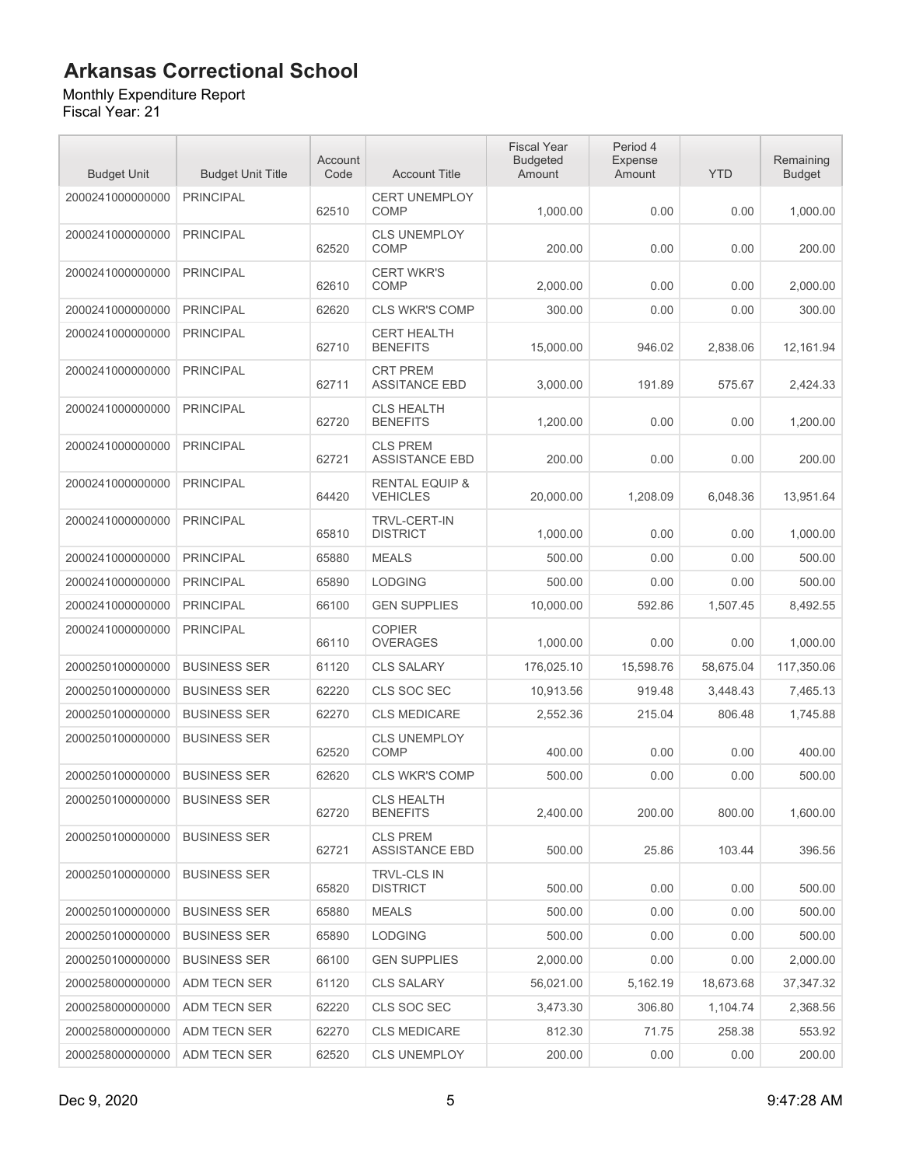#### Monthly Expenditure Report

| <b>Budget Unit</b> | <b>Budget Unit Title</b> | Account<br>Code | <b>Account Title</b>                         | <b>Fiscal Year</b><br><b>Budgeted</b><br>Amount | Period 4<br>Expense<br>Amount | <b>YTD</b> | Remaining<br><b>Budget</b> |
|--------------------|--------------------------|-----------------|----------------------------------------------|-------------------------------------------------|-------------------------------|------------|----------------------------|
| 2000241000000000   | <b>PRINCIPAL</b>         | 62510           | <b>CERT UNEMPLOY</b><br><b>COMP</b>          | 1,000.00                                        | 0.00                          | 0.00       | 1,000.00                   |
| 2000241000000000   | <b>PRINCIPAL</b>         | 62520           | <b>CLS UNEMPLOY</b><br><b>COMP</b>           | 200.00                                          | 0.00                          | 0.00       | 200.00                     |
| 2000241000000000   | <b>PRINCIPAL</b>         | 62610           | <b>CERT WKR'S</b><br><b>COMP</b>             | 2,000.00                                        | 0.00                          | 0.00       | 2,000.00                   |
| 2000241000000000   | <b>PRINCIPAL</b>         | 62620           | <b>CLS WKR'S COMP</b>                        | 300.00                                          | 0.00                          | 0.00       | 300.00                     |
| 2000241000000000   | <b>PRINCIPAL</b>         | 62710           | <b>CERT HEALTH</b><br><b>BENEFITS</b>        | 15,000.00                                       | 946.02                        | 2,838.06   | 12,161.94                  |
| 2000241000000000   | <b>PRINCIPAL</b>         | 62711           | <b>CRT PREM</b><br><b>ASSITANCE EBD</b>      | 3,000.00                                        | 191.89                        | 575.67     | 2,424.33                   |
| 2000241000000000   | <b>PRINCIPAL</b>         | 62720           | <b>CLS HEALTH</b><br><b>BENEFITS</b>         | 1,200.00                                        | 0.00                          | 0.00       | 1,200.00                   |
| 2000241000000000   | <b>PRINCIPAL</b>         | 62721           | <b>CLS PREM</b><br><b>ASSISTANCE EBD</b>     | 200.00                                          | 0.00                          | 0.00       | 200.00                     |
| 2000241000000000   | <b>PRINCIPAL</b>         | 64420           | <b>RENTAL EQUIP &amp;</b><br><b>VEHICLES</b> | 20,000.00                                       | 1,208.09                      | 6,048.36   | 13,951.64                  |
| 2000241000000000   | <b>PRINCIPAL</b>         | 65810           | <b>TRVL-CERT-IN</b><br><b>DISTRICT</b>       | 1.000.00                                        | 0.00                          | 0.00       | 1,000.00                   |
| 2000241000000000   | <b>PRINCIPAL</b>         | 65880           | <b>MEALS</b>                                 | 500.00                                          | 0.00                          | 0.00       | 500.00                     |
| 2000241000000000   | <b>PRINCIPAL</b>         | 65890           | <b>LODGING</b>                               | 500.00                                          | 0.00                          | 0.00       | 500.00                     |
| 2000241000000000   | <b>PRINCIPAL</b>         | 66100           | <b>GEN SUPPLIES</b>                          | 10,000.00                                       | 592.86                        | 1,507.45   | 8,492.55                   |
| 2000241000000000   | <b>PRINCIPAL</b>         | 66110           | <b>COPIER</b><br><b>OVERAGES</b>             | 1,000.00                                        | 0.00                          | 0.00       | 1,000.00                   |
| 2000250100000000   | <b>BUSINESS SER</b>      | 61120           | <b>CLS SALARY</b>                            | 176,025.10                                      | 15,598.76                     | 58,675.04  | 117,350.06                 |
| 2000250100000000   | <b>BUSINESS SER</b>      | 62220           | CLS SOC SEC                                  | 10,913.56                                       | 919.48                        | 3,448.43   | 7,465.13                   |
| 2000250100000000   | <b>BUSINESS SER</b>      | 62270           | <b>CLS MEDICARE</b>                          | 2,552.36                                        | 215.04                        | 806.48     | 1,745.88                   |
| 2000250100000000   | <b>BUSINESS SER</b>      | 62520           | <b>CLS UNEMPLOY</b><br>COMP                  | 400.00                                          | 0.00                          | 0.00       | 400.00                     |
| 2000250100000000   | <b>BUSINESS SER</b>      | 62620           | <b>CLS WKR'S COMP</b>                        | 500.00                                          | 0.00                          | 0.00       | 500.00                     |
| 2000250100000000   | <b>BUSINESS SER</b>      | 62720           | <b>CLS HEALTH</b><br><b>BENEFITS</b>         | 2.400.00                                        | 200.00                        | 800.00     | 1,600.00                   |
| 2000250100000000   | <b>BUSINESS SER</b>      | 62721           | <b>CLS PREM</b><br><b>ASSISTANCE EBD</b>     | 500.00                                          | 25.86                         | 103.44     | 396.56                     |
| 2000250100000000   | <b>BUSINESS SER</b>      | 65820           | <b>TRVL-CLS IN</b><br><b>DISTRICT</b>        | 500.00                                          | 0.00                          | 0.00       | 500.00                     |
| 2000250100000000   | <b>BUSINESS SER</b>      | 65880           | <b>MEALS</b>                                 | 500.00                                          | 0.00                          | 0.00       | 500.00                     |
| 2000250100000000   | <b>BUSINESS SER</b>      | 65890           | <b>LODGING</b>                               | 500.00                                          | 0.00                          | 0.00       | 500.00                     |
| 2000250100000000   | <b>BUSINESS SER</b>      | 66100           | <b>GEN SUPPLIES</b>                          | 2,000.00                                        | 0.00                          | 0.00       | 2,000.00                   |
| 2000258000000000   | ADM TECN SER             | 61120           | <b>CLS SALARY</b>                            | 56,021.00                                       | 5,162.19                      | 18,673.68  | 37,347.32                  |
| 2000258000000000   | ADM TECN SER             | 62220           | CLS SOC SEC                                  | 3,473.30                                        | 306.80                        | 1,104.74   | 2,368.56                   |
| 2000258000000000   | ADM TECN SER             | 62270           | <b>CLS MEDICARE</b>                          | 812.30                                          | 71.75                         | 258.38     | 553.92                     |
| 2000258000000000   | ADM TECN SER             | 62520           | <b>CLS UNEMPLOY</b>                          | 200.00                                          | 0.00                          | 0.00       | 200.00                     |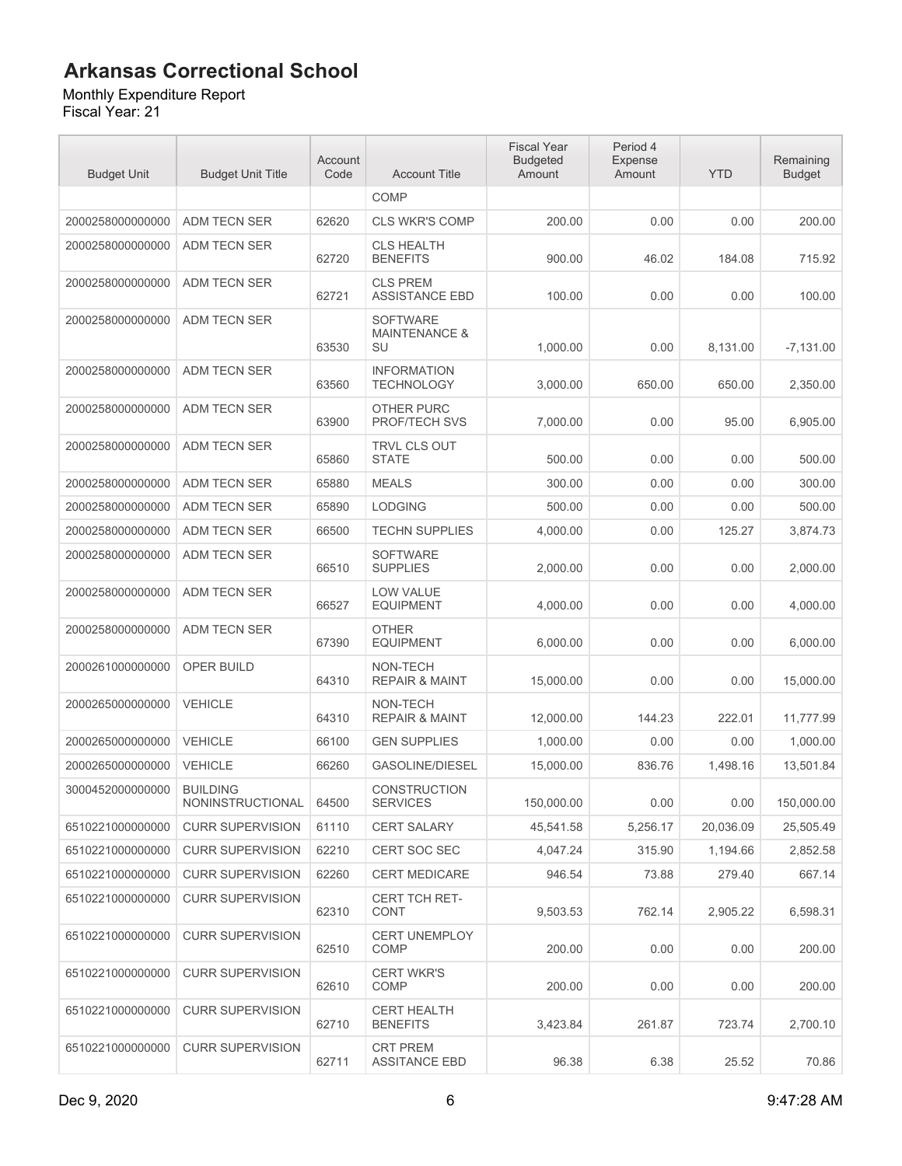Monthly Expenditure Report

| <b>Budget Unit</b> | <b>Budget Unit Title</b>            | Account<br>Code | <b>Account Title</b>                              | <b>Fiscal Year</b><br><b>Budgeted</b><br>Amount | Period 4<br>Expense<br>Amount | <b>YTD</b> | Remaining<br><b>Budget</b> |
|--------------------|-------------------------------------|-----------------|---------------------------------------------------|-------------------------------------------------|-------------------------------|------------|----------------------------|
|                    |                                     |                 | <b>COMP</b>                                       |                                                 |                               |            |                            |
| 2000258000000000   | ADM TECN SER                        | 62620           | <b>CLS WKR'S COMP</b>                             | 200.00                                          | 0.00                          | 0.00       | 200.00                     |
| 2000258000000000   | ADM TECN SER                        | 62720           | <b>CLS HEALTH</b><br><b>BENEFITS</b>              | 900.00                                          | 46.02                         | 184.08     | 715.92                     |
| 2000258000000000   | ADM TECN SER                        | 62721           | <b>CLS PREM</b><br><b>ASSISTANCE EBD</b>          | 100.00                                          | 0.00                          | 0.00       | 100.00                     |
| 2000258000000000   | <b>ADM TECN SER</b>                 | 63530           | <b>SOFTWARE</b><br><b>MAINTENANCE &amp;</b><br>SU | 1.000.00                                        | 0.00                          | 8,131.00   | $-7,131.00$                |
| 2000258000000000   | ADM TECN SER                        | 63560           | <b>INFORMATION</b><br><b>TECHNOLOGY</b>           | 3,000.00                                        | 650.00                        | 650.00     | 2,350.00                   |
| 2000258000000000   | ADM TECN SER                        | 63900           | <b>OTHER PURC</b><br>PROF/TECH SVS                | 7,000.00                                        | 0.00                          | 95.00      | 6,905.00                   |
| 2000258000000000   | ADM TECN SER                        | 65860           | <b>TRVL CLS OUT</b><br><b>STATE</b>               | 500.00                                          | 0.00                          | 0.00       | 500.00                     |
| 2000258000000000   | <b>ADM TECN SER</b>                 | 65880           | <b>MEALS</b>                                      | 300.00                                          | 0.00                          | 0.00       | 300.00                     |
| 2000258000000000   | <b>ADM TECN SER</b>                 | 65890           | <b>LODGING</b>                                    | 500.00                                          | 0.00                          | 0.00       | 500.00                     |
| 2000258000000000   | ADM TECN SER                        | 66500           | <b>TECHN SUPPLIES</b>                             | 4.000.00                                        | 0.00                          | 125.27     | 3,874.73                   |
| 2000258000000000   | <b>ADM TECN SER</b>                 | 66510           | <b>SOFTWARE</b><br><b>SUPPLIES</b>                | 2,000.00                                        | 0.00                          | 0.00       | 2,000.00                   |
| 2000258000000000   | ADM TECN SER                        | 66527           | <b>LOW VALUE</b><br><b>EQUIPMENT</b>              | 4,000.00                                        | 0.00                          | 0.00       | 4,000.00                   |
| 2000258000000000   | <b>ADM TECN SER</b>                 | 67390           | <b>OTHER</b><br><b>EQUIPMENT</b>                  | 6,000.00                                        | 0.00                          | 0.00       | 6,000.00                   |
| 2000261000000000   | OPER BUILD                          | 64310           | NON-TECH<br><b>REPAIR &amp; MAINT</b>             | 15,000.00                                       | 0.00                          | 0.00       | 15,000.00                  |
| 2000265000000000   | <b>VEHICLE</b>                      | 64310           | NON-TECH<br><b>REPAIR &amp; MAINT</b>             | 12,000.00                                       | 144.23                        | 222.01     | 11,777.99                  |
| 2000265000000000   | <b>VEHICLE</b>                      | 66100           | <b>GEN SUPPLIES</b>                               | 1,000.00                                        | 0.00                          | 0.00       | 1,000.00                   |
| 2000265000000000   | <b>VEHICLE</b>                      | 66260           | <b>GASOLINE/DIESEL</b>                            | 15,000.00                                       | 836.76                        | 1,498.16   | 13,501.84                  |
| 3000452000000000   | <b>BUILDING</b><br>NONINSTRUCTIONAL | 64500           | <b>CONSTRUCTION</b><br><b>SERVICES</b>            | 150,000.00                                      | 0.00                          | 0.00       | 150,000.00                 |
| 6510221000000000   | <b>CURR SUPERVISION</b>             | 61110           | <b>CERT SALARY</b>                                | 45,541.58                                       | 5,256.17                      | 20,036.09  | 25,505.49                  |
| 6510221000000000   | <b>CURR SUPERVISION</b>             | 62210           | <b>CERT SOC SEC</b>                               | 4,047.24                                        | 315.90                        | 1,194.66   | 2,852.58                   |
| 6510221000000000   | <b>CURR SUPERVISION</b>             | 62260           | <b>CERT MEDICARE</b>                              | 946.54                                          | 73.88                         | 279.40     | 667.14                     |
| 6510221000000000   | <b>CURR SUPERVISION</b>             | 62310           | CERT TCH RET-<br><b>CONT</b>                      | 9.503.53                                        | 762.14                        | 2,905.22   | 6,598.31                   |
| 6510221000000000   | <b>CURR SUPERVISION</b>             | 62510           | <b>CERT UNEMPLOY</b><br>COMP                      | 200.00                                          | 0.00                          | 0.00       | 200.00                     |
| 6510221000000000   | <b>CURR SUPERVISION</b>             | 62610           | <b>CERT WKR'S</b><br>COMP                         | 200.00                                          | 0.00                          | 0.00       | 200.00                     |
| 6510221000000000   | <b>CURR SUPERVISION</b>             | 62710           | <b>CERT HEALTH</b><br><b>BENEFITS</b>             | 3,423.84                                        | 261.87                        | 723.74     | 2,700.10                   |
| 6510221000000000   | <b>CURR SUPERVISION</b>             | 62711           | <b>CRT PREM</b><br><b>ASSITANCE EBD</b>           | 96.38                                           | 6.38                          | 25.52      | 70.86                      |